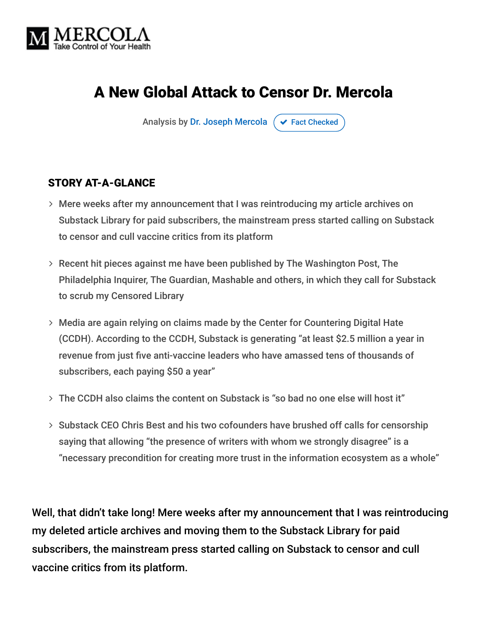

# A New Global Attack to Censor Dr. Mercola

Analysis by [Dr. Joseph Mercola](https://www.mercola.com/forms/background.htm)  $\sigma$  [Fact Checked](javascript:void(0))

#### STORY AT-A-GLANCE

- Mere weeks after my announcement that I was reintroducing my article archives on Substack Library for paid subscribers, the mainstream press started calling on Substack to censor and cull vaccine critics from its platform
- Recent hit pieces against me have been published by The Washington Post, The Philadelphia Inquirer, The Guardian, Mashable and others, in which they call for Substack to scrub my Censored Library
- Media are again relying on claims made by the Center for Countering Digital Hate (CCDH). According to the CCDH, Substack is generating "at least \$2.5 million a year in revenue from just five anti-vaccine leaders who have amassed tens of thousands of subscribers, each paying \$50 a year"
- The CCDH also claims the content on Substack is "so bad no one else will host it"
- $>$  Substack CEO Chris Best and his two cofounders have brushed off calls for censorship saying that allowing "the presence of writers with whom we strongly disagree" is a "necessary precondition for creating more trust in the information ecosystem as a whole"

Well, that didn't take long! Mere weeks after my announcement that I was reintroducing my deleted article archives and moving them to the Substack Library for paid subscribers, the mainstream press started calling on Substack to censor and cull vaccine critics from its platform.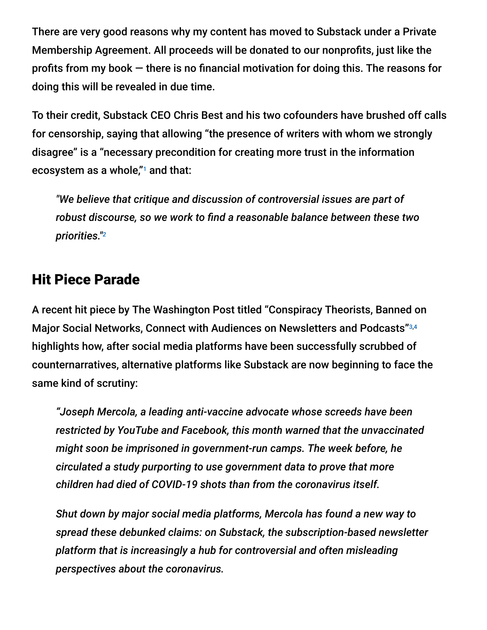There are very good reasons why my content has moved to Substack under a Private Membership Agreement. All proceeds will be donated to our nonprofits, just like the profits from my book — there is no financial motivation for doing this. The reasons for doing this will be revealed in due time.

To their credit, Substack CEO Chris Best and his two cofounders have brushed off calls for censorship, saying that allowing "the presence of writers with whom we strongly disagree" is a "necessary precondition for creating more trust in the information ecosystem as a whole, $"$  and that:

*"We believe that critique and discussion of controversial issues are part of robust discourse, so we work to find a reasonable balance between these two priorities." 2*

#### Hit Piece Parade

A recent hit piece by The Washington Post titled "Conspiracy Theorists, Banned on Major Social Networks, Connect with Audiences on Newsletters and Podcasts" 3,4highlights how, after social media platforms have been successfully scrubbed of counternarratives, alternative platforms like Substack are now beginning to face the same kind of scrutiny:

*"Joseph Mercola, a leading anti-vaccine advocate whose screeds have been restricted by YouTube and Facebook, this month warned that the unvaccinated might soon be imprisoned in government-run camps. The week before, he circulated a study purporting to use government data to prove that more children had died of COVID-19 shots than from the coronavirus itself.*

*Shut down by major social media platforms, Mercola has found a new way to spread these debunked claims: on Substack, the subscription-based newsletter platform that is increasingly a hub for controversial and often misleading perspectives about the coronavirus.*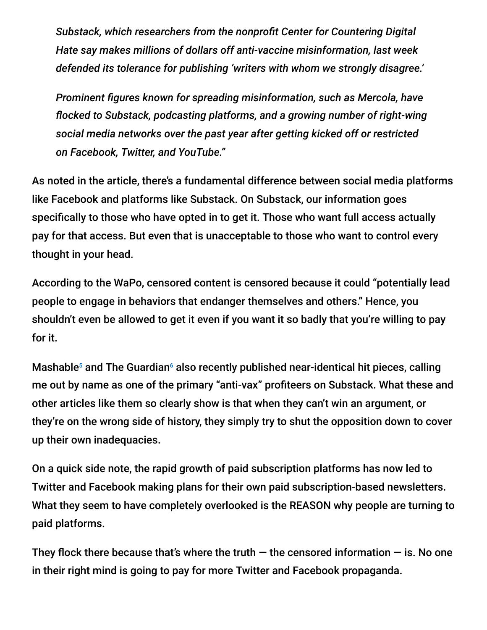*Substack, which researchers from the nonprofit Center for Countering Digital Hate say makes millions of dollars off anti-vaccine misinformation, last week defended its tolerance for publishing 'writers with whom we strongly disagree.'*

*Prominent figures known for spreading misinformation, such as Mercola, have flocked to Substack, podcasting platforms, and a growing number of right-wing social media networks over the past year after getting kicked off or restricted on Facebook, Twitter, and YouTube."*

As noted in the article, there's a fundamental difference between social media platforms like Facebook and platforms like Substack. On Substack, our information goes specifically to those who have opted in to get it. Those who want full access actually pay for that access. But even that is unacceptable to those who want to control every thought in your head.

According to the WaPo, censored content is censored because it could "potentially lead people to engage in behaviors that endanger themselves and others." Hence, you shouldn't even be allowed to get it even if you want it so badly that you're willing to pay for it.

Mashable $^5$  and The Guardian $^6$  also recently published near-identical hit pieces, calling me out by name as one of the primary "anti-vax" profiteers on Substack. What these and other articles like them so clearly show is that when they can't win an argument, or they're on the wrong side of history, they simply try to shut the opposition down to cover up their own inadequacies.

On a quick side note, the rapid growth of paid subscription platforms has now led to Twitter and Facebook making plans for their own paid subscription-based newsletters. What they seem to have completely overlooked is the REASON why people are turning to paid platforms.

They flock there because that's where the truth  $-$  the censored information  $-$  is. No one in their right mind is going to pay for more Twitter and Facebook propaganda.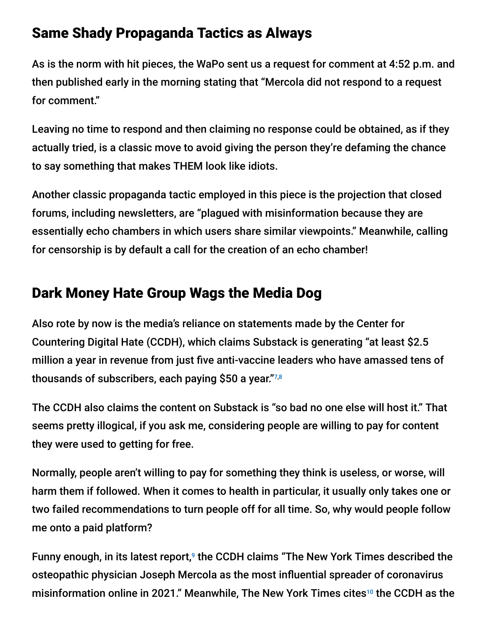### Same Shady Propaganda Tactics as Always

As is the norm with hit pieces, the WaPo sent us a request for comment at 4:52 p.m. and then published early in the morning stating that "Mercola did not respond to a request for comment."

Leaving no time to respond and then claiming no response could be obtained, as if they actually tried, is a classic move to avoid giving the person they're defaming the chance to say something that makes THEM look like idiots.

Another classic propaganda tactic employed in this piece is the projection that closed forums, including newsletters, are "plagued with misinformation because they are essentially echo chambers in which users share similar viewpoints." Meanwhile, calling for censorship is by default a call for the creation of an echo chamber!

# Dark Money Hate Group Wags the Media Dog

Also rote by now is the media's reliance on statements made by the Center for Countering Digital Hate (CCDH), which claims Substack is generating "at least \$2.5 million a year in revenue from just five anti-vaccine leaders who have amassed tens of thousands of subscribers, each paying \$50 a year." 7,8

The CCDH also claims the content on Substack is "so bad no one else will host it." That seems pretty illogical, if you ask me, considering people are willing to pay for content they were used to getting for free.

Normally, people aren't willing to pay for something they think is useless, or worse, will harm them if followed. When it comes to health in particular, it usually only takes one or two failed recommendations to turn people off for all time. So, why would people follow me onto a paid platform?

Funny enough, in its latest report, $9$  the CCDH claims "The New York Times described the osteopathic physician Joseph Mercola as the most influential spreader of coronavirus misinformation online in 2021." Meanwhile, The New York Times cites $^{10}$  the CCDH as the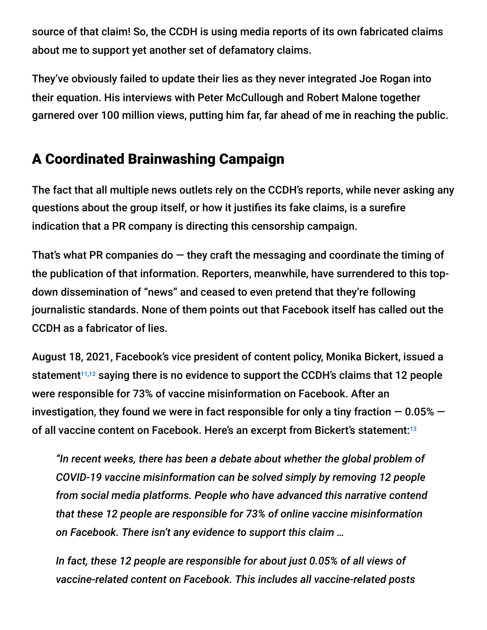source of that claim! So, the CCDH is using media reports of its own fabricated claims about me to support yet another set of defamatory claims.

They've obviously failed to update their lies as they never integrated Joe Rogan into their equation. His interviews with Peter McCullough and Robert Malone together garnered over 100 million views, putting him far, far ahead of me in reaching the public.

# A Coordinated Brainwashing Campaign

The fact that all multiple news outlets rely on the CCDH's reports, while never asking any questions about the group itself, or how it justifies its fake claims, is a surefire indication that a PR company is directing this censorship campaign.

That's what PR companies do  $-$  they craft the messaging and coordinate the timing of the publication of that information. Reporters, meanwhile, have surrendered to this topdown dissemination of "news" and ceased to even pretend that they're following journalistic standards. None of them points out that Facebook itself has called out the CCDH as a fabricator of lies.

August 18, 2021, Facebook's vice president of content policy, Monika Bickert, issued a statement $11,12$  saying there is no evidence to support the CCDH's claims that 12 people were responsible for 73% of vaccine misinformation on Facebook. After an investigation, they found we were in fact responsible for only a tiny fraction  $-0.05\%$   $$ of all vaccine content on Facebook. Here's an excerpt from Bickert's statement:<sup>13</sup>

*"In recent weeks, there has been a debate about whether the global problem of COVID-19 vaccine misinformation can be solved simply by removing 12 people from social media platforms. People who have advanced this narrative contend that these 12 people are responsible for 73% of online vaccine misinformation on Facebook. There isn't any evidence to support this claim …*

*In fact, these 12 people are responsible for about just 0.05% of all views of vaccine-related content on Facebook. This includes all vaccine-related posts*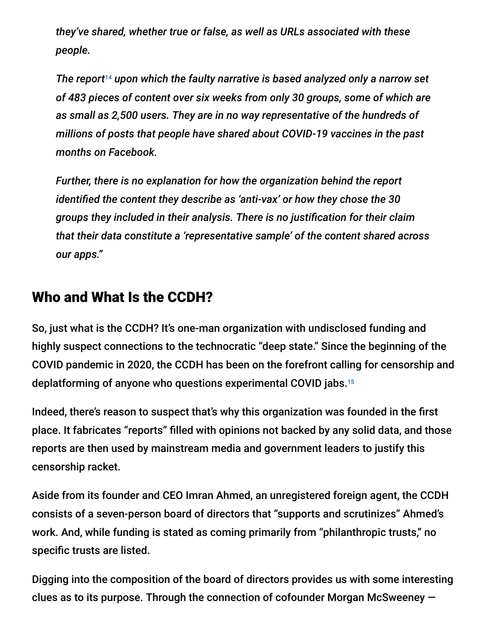*they've shared, whether true or false, as well as URLs associated with these people.*

The report<sup>14</sup> upon which the faulty narrative is based analyzed only a narrow set *of 483 pieces of content over six weeks from only 30 groups, some of which are as small as 2,500 users. They are in no way representative of the hundreds of millions of posts that people have shared about COVID-19 vaccines in the past months on Facebook.*

*Further, there is no explanation for how the organization behind the report identified the content they describe as 'anti-vax' or how they chose the 30 groups they included in their analysis. There is no justification for their claim that their data constitute a 'representative sample' of the content shared across our apps."*

### Who and What Is the CCDH?

So, just what is the CCDH? It's one-man organization with undisclosed funding and highly suspect connections to the technocratic "deep state." Since the beginning of the COVID pandemic in 2020, the CCDH has been on the forefront calling for censorship and deplatforming of anyone who questions experimental COVID jabs. 15

Indeed, there's reason to suspect that's why this organization was founded in the first place. It fabricates "reports" filled with opinions not backed by any solid data, and those reports are then used by mainstream media and government leaders to justify this censorship racket.

Aside from its founder and CEO Imran Ahmed, an unregistered foreign agent, the CCDH consists of a seven-person board of directors that "supports and scrutinizes" Ahmed's work. And, while funding is stated as coming primarily from "philanthropic trusts," no specific trusts are listed.

Digging into the composition of the board of directors provides us with some interesting clues as to its purpose. Through the connection of cofounder Morgan McSweeney —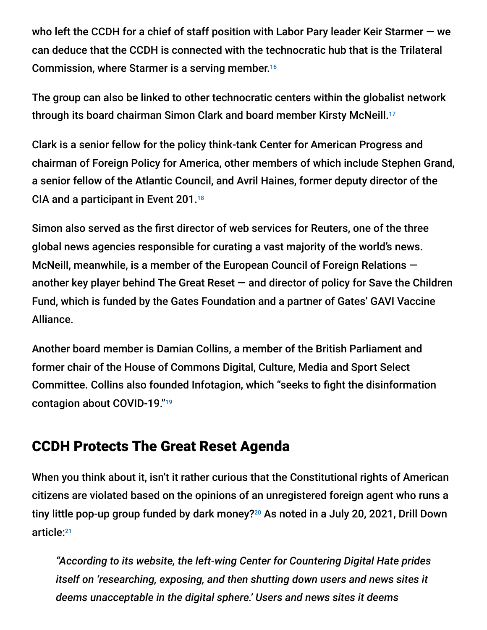who left the CCDH for a chief of staff position with Labor Pary leader Keir Starmer — we can deduce that the CCDH is connected with the technocratic hub that is the Trilateral Commission, where Starmer is a serving member. 16

The group can also be linked to other technocratic centers within the globalist network through its board chairman Simon Clark and board member Kirsty McNeill. 17

Clark is a senior fellow for the policy think-tank Center for American Progress and chairman of Foreign Policy for America, other members of which include Stephen Grand, a senior fellow of the Atlantic Council, and Avril Haines, former deputy director of the CIA and a participant in Event 201. 18

Simon also served as the first director of web services for Reuters, one of the three global news agencies responsible for curating a vast majority of the world's news. McNeill, meanwhile, is a member of the European Council of Foreign Relations another key player behind The Great Reset — and director of policy for Save the Children Fund, which is funded by the Gates Foundation and a partner of Gates' GAVI Vaccine Alliance.

Another board member is Damian Collins, a member of the British Parliament and former chair of the House of Commons Digital, Culture, Media and Sport Select Committee. Collins also founded Infotagion, which "seeks to fight the disinformation contagion about COVID-19." 19

### CCDH Protects The Great Reset Agenda

When you think about it, isn't it rather curious that the Constitutional rights of American citizens are violated based on the opinions of an unregistered foreign agent who runs a tiny little pop-up group funded by dark money?<sup>20</sup> As noted in a July 20, 2021, Drill Down article: 21

*"According to its website, the left-wing Center for Countering Digital Hate prides itself on 'researching, exposing, and then shutting down users and news sites it deems unacceptable in the digital sphere.' Users and news sites it deems*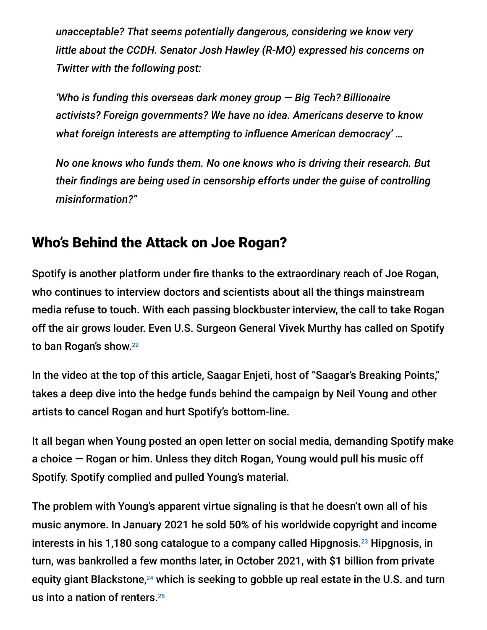*unacceptable? That seems potentially dangerous, considering we know very little about the CCDH. Senator Josh Hawley (R-MO) expressed his concerns on Twitter with the following post:*

*'Who is funding this overseas dark money group — Big Tech? Billionaire activists? Foreign governments? We have no idea. Americans deserve to know what foreign interests are attempting to influence American democracy' …*

*No one knows who funds them. No one knows who is driving their research. But their findings are being used in censorship efforts under the guise of controlling misinformation?"*

### Who's Behind the Attack on Joe Rogan?

Spotify is another platform under fire thanks to the extraordinary reach of Joe Rogan, who continues to interview doctors and scientists about all the things mainstream media refuse to touch. With each passing blockbuster interview, the call to take Rogan off the air grows louder. Even U.S. Surgeon General Vivek Murthy has called on Spotify to ban Rogan's show. 22

In the video at the top of this article, Saagar Enjeti, host of "Saagar's Breaking Points," takes a deep dive into the hedge funds behind the campaign by Neil Young and other artists to cancel Rogan and hurt Spotify's bottom-line.

It all began when Young posted an open letter on social media, demanding Spotify make a choice — Rogan or him. Unless they ditch Rogan, Young would pull his music off Spotify. Spotify complied and pulled Young's material.

The problem with Young's apparent virtue signaling is that he doesn't own all of his music anymore. In January 2021 he sold 50% of his worldwide copyright and income interests in his 1,180 song catalogue to a company called Hipgnosis.<sup>23</sup> Hipgnosis, in turn, was bankrolled a few months later, in October 2021, with \$1 billion from private equity giant Blackstone, $^{24}$  which is seeking to gobble up real estate in the U.S. and turn us into a nation of renters. 25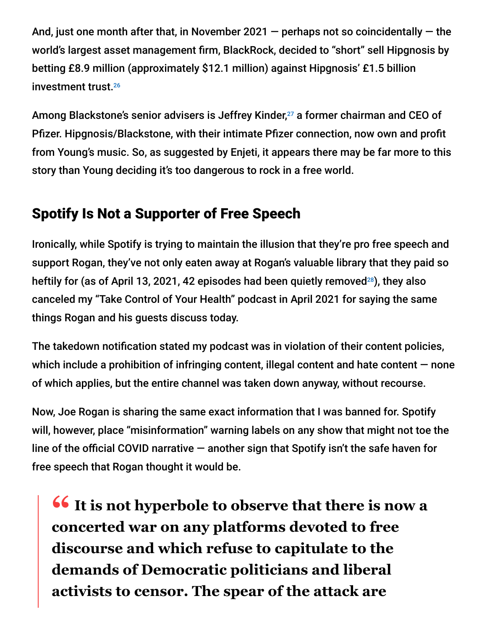And, just one month after that, in November 2021  $-$  perhaps not so coincidentally  $-$  the world's largest asset management firm, BlackRock, decided to "short" sell Hipgnosis by betting £8.9 million (approximately \$12.1 million) against Hipgnosis' £1.5 billion investment trust. 26

Among Blackstone's senior advisers is Jeffrey Kinder,<sup>27</sup> a former chairman and CEO of Pfizer. Hipgnosis/Blackstone, with their intimate Pfizer connection, now own and profit from Young's music. So, as suggested by Enjeti, it appears there may be far more to this story than Young deciding it's too dangerous to rock in a free world.

# Spotify Is Not a Supporter of Free Speech

Ironically, while Spotify is trying to maintain the illusion that they're pro free speech and support Rogan, they've not only eaten away at Rogan's valuable library that they paid so heftily for (as of April 13, 2021, 42 episodes had been quietly removed $^{28}$ ), they also canceled my "Take Control of Your Health" podcast in April 2021 for saying the same things Rogan and his guests discuss today.

The takedown notification stated my podcast was in violation of their content policies, which include a prohibition of infringing content, illegal content and hate content  $-$  none of which applies, but the entire channel was taken down anyway, without recourse.

Now, Joe Rogan is sharing the same exact information that I was banned for. Spotify will, however, place "misinformation" warning labels on any show that might not toe the line of the official COVID narrative — another sign that Spotify isn't the safe haven for free speech that Rogan thought it would be.

**16 It is not hyperbole to observe that there is now a**<br> **Concerted war on any platforms devoted to free concerted war on any platforms devoted to free discourse and which refuse to capitulate to the demands of Democratic politicians and liberal activists to censor. The spear of the attack are**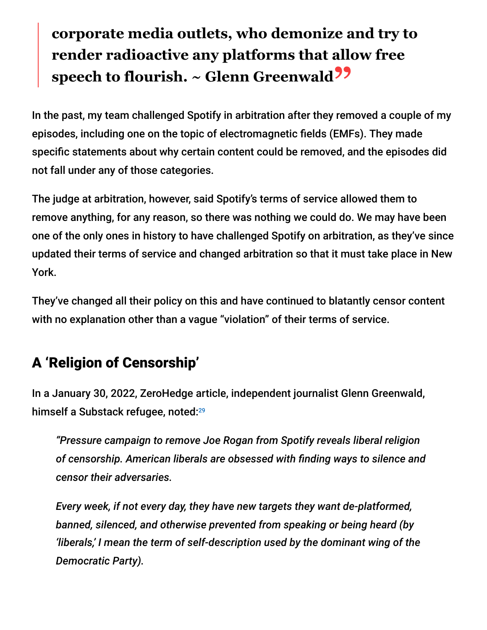# **corporate media outlets, who demonize and try to render radioactive any platforms that allow free speech to flourish. ~ Glenn Greenwald"**

In the past, my team challenged Spotify in arbitration after they removed a couple of my episodes, including one on the topic of electromagnetic fields (EMFs). They made specific statements about why certain content could be removed, and the episodes did not fall under any of those categories.

The judge at arbitration, however, said Spotify's terms of service allowed them to remove anything, for any reason, so there was nothing we could do. We may have been one of the only ones in history to have challenged Spotify on arbitration, as they've since updated their terms of service and changed arbitration so that it must take place in New York.

They've changed all their policy on this and have continued to blatantly censor content with no explanation other than a vague "violation" of their terms of service.

# A 'Religion of Censorship'

In a January 30, 2022, ZeroHedge article, independent journalist Glenn Greenwald, himself a Substack refugee, noted: 29

*"Pressure campaign to remove Joe Rogan from Spotify reveals liberal religion of censorship. American liberals are obsessed with finding ways to silence and censor their adversaries.*

*Every week, if not every day, they have new targets they want de-platformed, banned, silenced, and otherwise prevented from speaking or being heard (by 'liberals,' I mean the term of self-description used by the dominant wing of the Democratic Party).*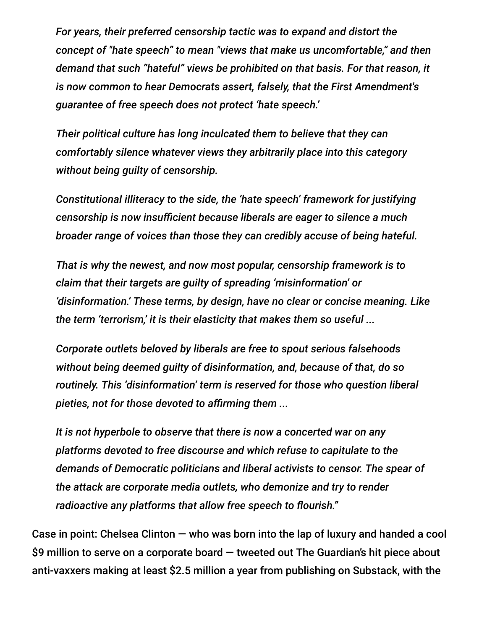*For years, their preferred censorship tactic was to expand and distort the concept of "hate speech" to mean "views that make us uncomfortable," and then demand that such "hateful" views be prohibited on that basis. For that reason, it is now common to hear Democrats assert, falsely, that the First Amendment's guarantee of free speech does not protect 'hate speech.'*

*Their political culture has long inculcated them to believe that they can comfortably silence whatever views they arbitrarily place into this category without being guilty of censorship.*

*Constitutional illiteracy to the side, the 'hate speech' framework for justifying censorship is now insufficient because liberals are eager to silence a much broader range of voices than those they can credibly accuse of being hateful.*

*That is why the newest, and now most popular, censorship framework is to claim that their targets are guilty of spreading 'misinformation' or 'disinformation.' These terms, by design, have no clear or concise meaning. Like the term 'terrorism,' it is their elasticity that makes them so useful ...*

*Corporate outlets beloved by liberals are free to spout serious falsehoods without being deemed guilty of disinformation, and, because of that, do so routinely. This 'disinformation' term is reserved for those who question liberal pieties, not for those devoted to affirming them ...*

*It is not hyperbole to observe that there is now a concerted war on any platforms devoted to free discourse and which refuse to capitulate to the demands of Democratic politicians and liberal activists to censor. The spear of the attack are corporate media outlets, who demonize and try to render radioactive any platforms that allow free speech to flourish."*

Case in point: Chelsea Clinton — who was born into the lap of luxury and handed a cool \$9 million to serve on a corporate board — tweeted out The Guardian's hit piece about anti-vaxxers making at least \$2.5 million a year from publishing on Substack, with the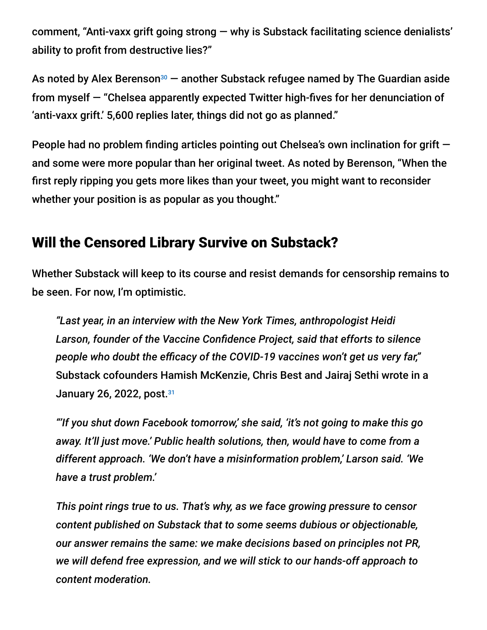comment, "Anti-vaxx grift going strong — why is Substack facilitating science denialists' ability to profit from destructive lies?"

As noted by Alex Berenson<sup>30</sup> — another Substack refugee named by The Guardian aside from myself — "Chelsea apparently expected Twitter high-fives for her denunciation of 'anti-vaxx grift.' 5,600 replies later, things did not go as planned."

People had no problem finding articles pointing out Chelsea's own inclination for grift and some were more popular than her original tweet. As noted by Berenson, "When the first reply ripping you gets more likes than your tweet, you might want to reconsider whether your position is as popular as you thought."

### Will the Censored Library Survive on Substack?

Whether Substack will keep to its course and resist demands for censorship remains to be seen. For now, I'm optimistic.

*"Last year, in an interview with the New York Times, anthropologist Heidi Larson, founder of the Vaccine Confidence Project, said that efforts to silence people who doubt the efficacy of the COVID-19 vaccines won't get us very far,"* Substack cofounders Hamish McKenzie, Chris Best and Jairaj Sethi wrote in a January 26, 2022, post. 31

*"'If you shut down Facebook tomorrow,' she said, 'it's not going to make this go away. It'll just move.' Public health solutions, then, would have to come from a different approach. 'We don't have a misinformation problem,' Larson said. 'We have a trust problem.'*

*This point rings true to us. That's why, as we face growing pressure to censor content published on Substack that to some seems dubious or objectionable, our answer remains the same: we make decisions based on principles not PR, we will defend free expression, and we will stick to our hands-off approach to content moderation.*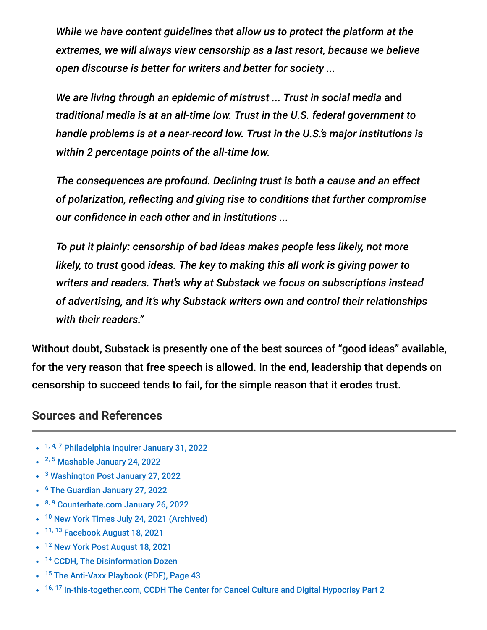*While we have content guidelines that allow us to protect the platform at the extremes, we will always view censorship as a last resort, because we believe open discourse is better for writers and better for society ...*

*We are living through an epidemic of mistrust ... Trust in social media* and *traditional media is at an all-time low. Trust in the U.S. federal government to handle problems is at a near-record low. Trust in the U.S.'s major institutions is within 2 percentage points of the all-time low.*

*The consequences are profound. Declining trust is both a cause and an effect of polarization, reflecting and giving rise to conditions that further compromise our confidence in each other and in institutions ...*

*To put it plainly: censorship of bad ideas makes people less likely, not more likely, to trust* good *ideas. The key to making this all work is giving power to writers and readers. That's why at Substack we focus on subscriptions instead of advertising, and it's why Substack writers own and control their relationships with their readers."*

Without doubt, Substack is presently one of the best sources of "good ideas" available, for the very reason that free speech is allowed. In the end, leadership that depends on censorship to succeed tends to fail, for the simple reason that it erodes trust.

#### **Sources and References**

- <sup>1, 4, 7</sup> [Philadelphia Inquirer January 31, 2022](https://www.inquirer.com/business/substack-enewsletter-youtube-facebook-censor--20220131.html)
- <sup>2, 5</sup> [Mashable January 24, 2022](https://mashable.com/article/substack-covid-misinformation)
- <sup>3</sup> [Washington Post January 27, 2022](https://www.washingtonpost.com/technology/2022/01/27/substack-misinformation-anti-vaccine/)
- <sup>6</sup> [The Guardian January 27, 2022](https://www.theguardian.com/technology/2022/jan/27/anti-vaxxers-making-at-least-25m-a-year-from-publishing-on-substack)
- 8, <sup>9</sup> [Counterhate.com January 26, 2022](https://www.counterhate.com/post/substack-generates-at-least-2-5-million-in-revenue-from-anti-vaccine-newsletters-per-year)
- <sup>10</sup> [New York Times July 24, 2021 \(Archived\)](https://archive.is/Y2vos)
- <sup>11, 13</sup> [Facebook August 18, 2021](https://about.fb.com/news/2021/08/taking-action-against-vaccine-misinformation-superspreaders/)
- <sup>12</sup> [New York Post August 18, 2021](https://nypost.com/2021/08/18/facebook-pushes-back-against-wh-over-covid-vax-disinformation-dozen/)
- <sup>14</sup> [CCDH, The Disinformation Dozen](https://252f2edd-1c8b-49f5-9bb2-cb57bb47e4ba.filesusr.com/ugd/f4d9b9_b7cedc0553604720b7137f8663366ee5.pdf)
- <sup>15</sup> [The Anti-Vaxx Playbook \(PDF\), Page 43](https://f4d9b9d3-3d32-4f3a-afa6-49f8bf05279a.usrfiles.com/ugd/f4d9b9_25e2a7b73e8c4236a53c1002db4017b4.pdf)
- <sup>16, 17</sup> [In-this-together.com, CCDH The Center for Cancel Culture and Digital Hypocrisy Part 2](https://in-this-together.com/ccdh-part-2/)